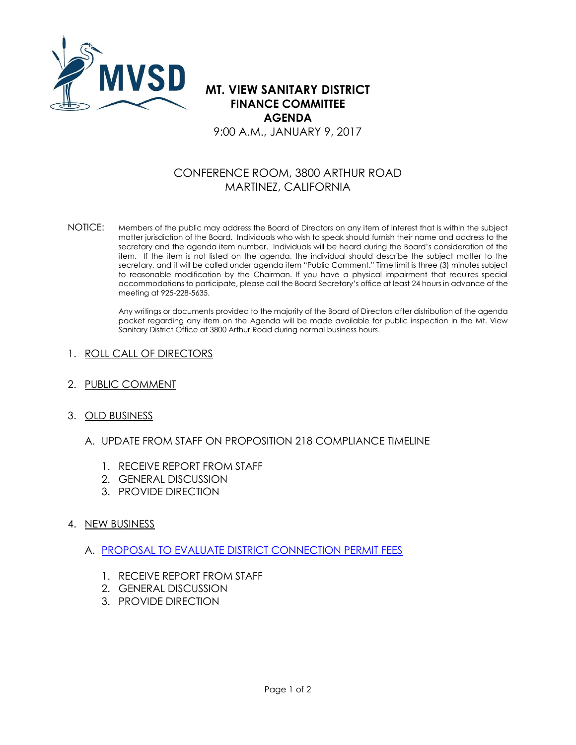

**MT. VIEW SANITARY DISTRICT FINANCE COMMITTEE AGENDA** 9:00 A.M., JANUARY 9, 2017

## CONFERENCE ROOM, 3800 ARTHUR ROAD MARTINEZ, CALIFORNIA

NOTICE: Members of the public may address the Board of Directors on any item of interest that is within the subject matter jurisdiction of the Board. Individuals who wish to speak should furnish their name and address to the secretary and the agenda item number. Individuals will be heard during the Board's consideration of the item. If the item is not listed on the agenda, the individual should describe the subject matter to the secretary, and it will be called under agenda item "Public Comment." Time limit is three (3) minutes subject to reasonable modification by the Chairman. If you have a physical impairment that requires special accommodations to participate, please call the Board Secretary's office at least 24 hours in advance of the meeting at 925-228-5635.

> Any writings or documents provided to the majority of the Board of Directors after distribution of the agenda packet regarding any item on the Agenda will be made available for public inspection in the Mt. View Sanitary District Office at 3800 Arthur Road during normal business hours.

## 1. ROLL CALL OF DIRECTORS

- 2. PUBLIC COMMENT
- 3. OLD BUSINESS
	- A. UPDATE FROM STAFF ON PROPOSITION 218 COMPLIANCE TIMELINE
		- 1. RECEIVE REPORT FROM STAFF
		- 2. GENERAL DISCUSSION
		- 3. PROVIDE DIRECTION

## 4. NEW BUSINESS

- A. [PROPOSAL TO EVALUATE DISTRICT CONNECTION PERMIT FEES](http://www.mvsd.org/wp-content/uploads/2017/01/2017-9-1-ITEM-4A.pdf)
	- 1. RECEIVE REPORT FROM STAFF
	- 2. GENERAL DISCUSSION
	- 3. PROVIDE DIRECTION